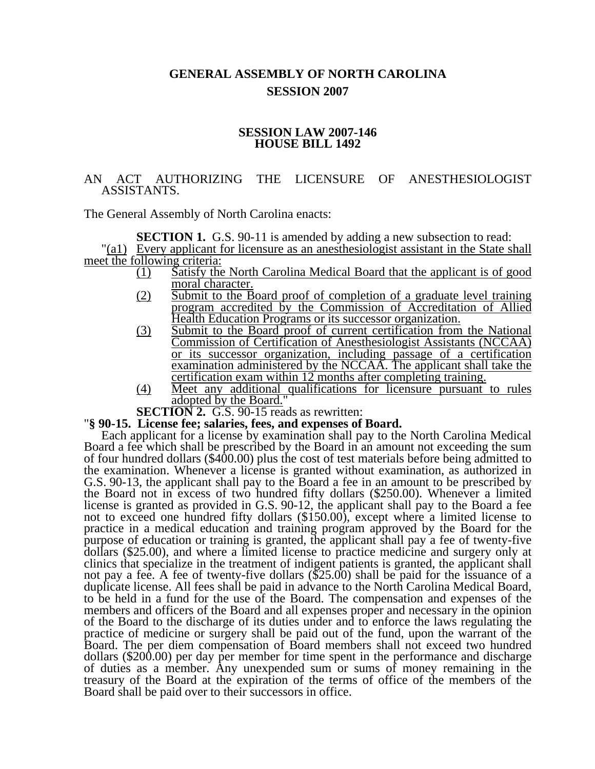# **GENERAL ASSEMBLY OF NORTH CAROLINA SESSION 2007**

#### **SESSION LAW 2007-146 HOUSE BILL 1492**

## AN ACT AUTHORIZING THE LICENSURE OF ANESTHESIOLOGIST ASSISTANTS.

The General Assembly of North Carolina enacts:

**SECTION 1.** G.S. 90-11 is amended by adding a new subsection to read: "(a1) Every applicant for licensure as an anesthesiologist assistant in the State shall meet the following criteria:

- (1) Satisfy the North Carolina Medical Board that the applicant is of good moral character.
- (2) Submit to the Board proof of completion of a graduate level training program accredited by the Commission of Accreditation of Allied Health Education Programs or its successor organization.
- (3) Submit to the Board proof of current certification from the National Commission of Certification of Anesthesiologist Assistants (NCCAA) or its successor organization, including passage of a certification examination administered by the NCCAA. The applicant shall take the certification exam within 12 months after completing training.
- (4) Meet any additional qualifications for licensure pursuant to rules  $\overline{\text{adopted by the Board.}}$ "<br>**SECTION 2.** G.S. 90-15 reads as rewritten:

#### **''§ 90-15. License fee; salaries, fees, and expenses of Board.**

Each applicant for a license by examination shall pay to the North Carolina Medical Board a fee which shall be prescribed by the Board in an amount not exceeding the sum of four hundred dollars (\$400.00) plus the cost of test materials before being admitted to the examination. Whenever a license is granted without examination, as authorized in G.S. 90-13, the applicant shall pay to the Board a fee in an amount to be prescribed by the Board not in excess of two hundred fifty dollars (\$250.00). Whenever a limited license is granted as provided in G.S. 90-12, the applicant shall pay to the Board a fee not to exceed one hundred fifty dollars (\$150.00), except where a limited license to practice in a medical education and training program approved by the Board for the purpose of education or training is granted, the applicant shall pay a fee of twenty-five dollars (\$25.00), and where a limited license to practice medicine and surgery only at clinics that specialize in the treatment of indigent patients is granted, the applicant shall not pay a fee. A fee of twenty-five dollars (\$25.00) shall be paid for the issuance of a duplicate license. All fees shall be paid in advance to the North Carolina Medical Board, to be held in a fund for the use of the Board. The compensation and expenses of the members and officers of the Board and all expenses proper and necessary in the opinion of the Board to the discharge of its duties under and to enforce the laws regulating the practice of medicine or surgery shall be paid out of the fund, upon the warrant of the Board. The per diem compensation of Board members shall not exceed two hundred dollars (\$200.00) per day per member for time spent in the performance and discharge of duties as a member. Any unexpended sum or sums of money remaining in the treasury of the Board at the expiration of the terms of office of the members of the Board shall be paid over to their successors in office.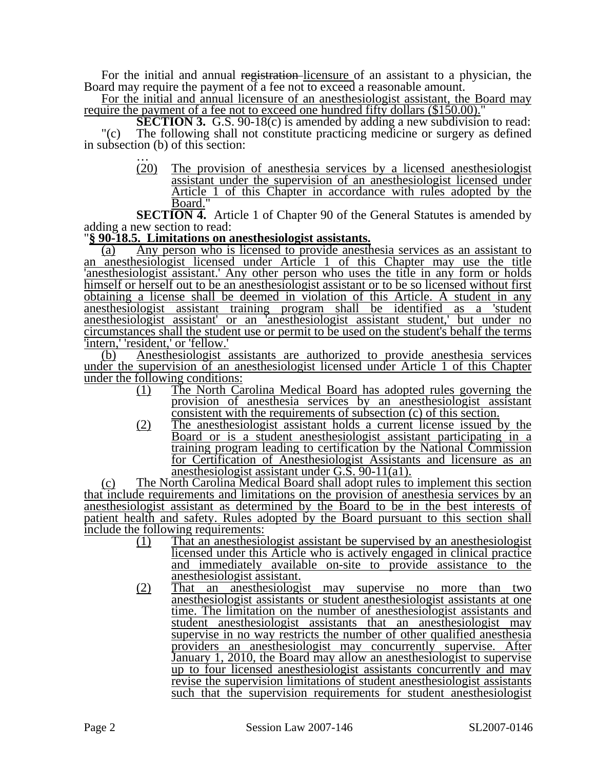For the initial and annual registration-licensure of an assistant to a physician, the Board may require the payment of a fee not to exceed a reasonable amount.

For the initial and annual licensure of an anesthesiologist assistant, the Board may require the payment of a fee not to exceed one hundred fifty dollars (\$150.00)."

**SECTION 3.** G.S. 90-18(c) is amended by adding a new subdivision to read: "(c) The following shall not constitute practicing medicine or surgery as defined in subsection (b) of this section:<br>  $\frac{1}{20}$  The provision

The provision of anesthesia services by a licensed anesthesiologist assistant under the supervision of an anesthesiologist licensed under Article 1 of this Chapter in accordance with rules adopted by the Board."

**SECTION 4.** Article 1 of Chapter 90 of the General Statutes is amended by adding a new section to read:

### "**§ 90-18.5. Limitations on anesthesiologist assistants.**

(a) Any person who is licensed to provide anesthesia services as an assistant to an anesthesiologist licensed under Article 1 of this Chapter may use the title 'anesthesiologist assistant.' Any other person who uses the title in any form or holds himself or herself out to be an anesthesiologist assistant or to be so licensed without first obtaining a license shall be deemed in violation of this Article. A student in any anesthesiologist assistant training program shall be identified as a 'student anesthesiologist assistant' or an 'anesthesiologist assistant student,' but under no circumstances shall the student use or permit to be used on the student's behalf the terms 'intern,' 'resident,' or 'fellow.'

(b) Anesthesiologist assistants are authorized to provide anesthesia services under the supervision of an anesthesiologist licensed under Article 1 of this Chapter under the following conditions:

- (1) The North Carolina Medical Board has adopted rules governing the provision of anesthesia services by an anesthesiologist assistant consistent with the requirements of subsection (c) of this section.
- (2) The anesthesiologist assistant holds a current license issued by the Board or is a student anesthesiologist assistant participating in a training program leading to certification by the National Commission for Certification of Anesthesiologist Assistants and licensure as an anesthesiologist assistant under G.S. 90-11(a1).

(c) The North Carolina Medical Board shall adopt rules to implement this section that include requirements and limitations on the provision of anesthesia services by an anesthesiologist assistant as determined by the Board to be in the best interests of patient health and safety. Rules adopted by the Board pursuant to this section shall include the following requirements:

- (1) That an anesthesiologist assistant be supervised by an anesthesiologist licensed under this Article who is actively engaged in clinical practice and immediately available on-site to provide assistance to the anesthesiologist assistant.
- (2) That an anesthesiologist may supervise no more than two anesthesiologist assistants or student anesthesiologist assistants at one time. The limitation on the number of anesthesiologist assistants and student anesthesiologist assistants that an anesthesiologist may supervise in no way restricts the number of other qualified anesthesia providers an anesthesiologist may concurrently supervise. After January 1, 2010, the Board may allow an anesthesiologist to supervise up to four licensed anesthesiologist assistants concurrently and may revise the supervision limitations of student anesthesiologist assistants such that the supervision requirements for student anesthesiologist